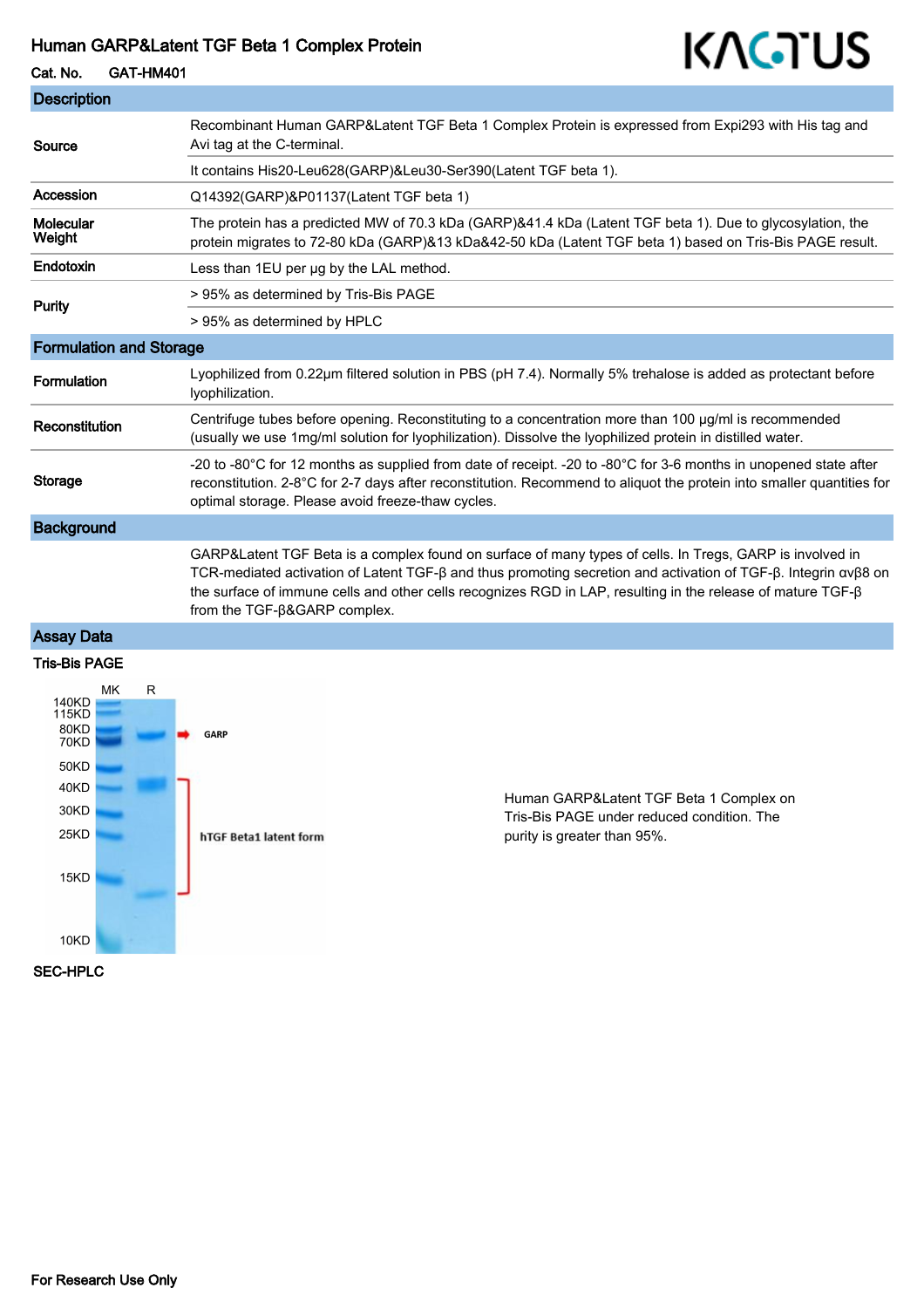#### Human GARP&Latent TGF Beta 1 Complex Protein

# KAGTUS

Cat. No. GAT-HM401

| <b>Description</b>             |                                                                                                                                                                                                                                                                                                                                                                           |
|--------------------------------|---------------------------------------------------------------------------------------------------------------------------------------------------------------------------------------------------------------------------------------------------------------------------------------------------------------------------------------------------------------------------|
| Source                         | Recombinant Human GARP&Latent TGF Beta 1 Complex Protein is expressed from Expi293 with His tag and<br>Avi tag at the C-terminal.                                                                                                                                                                                                                                         |
|                                | It contains His20-Leu628(GARP)&Leu30-Ser390(Latent TGF beta 1).                                                                                                                                                                                                                                                                                                           |
| Accession                      | Q14392(GARP)&P01137(Latent TGF beta 1)                                                                                                                                                                                                                                                                                                                                    |
| <b>Molecular</b><br>Weight     | The protein has a predicted MW of 70.3 kDa (GARP)&41.4 kDa (Latent TGF beta 1). Due to glycosylation, the<br>protein migrates to 72-80 kDa (GARP)&13 kDa&42-50 kDa (Latent TGF beta 1) based on Tris-Bis PAGE result.                                                                                                                                                     |
| Endotoxin                      | Less than 1EU per ug by the LAL method.                                                                                                                                                                                                                                                                                                                                   |
| <b>Purity</b>                  | > 95% as determined by Tris-Bis PAGE                                                                                                                                                                                                                                                                                                                                      |
|                                | > 95% as determined by HPLC                                                                                                                                                                                                                                                                                                                                               |
| <b>Formulation and Storage</b> |                                                                                                                                                                                                                                                                                                                                                                           |
| Formulation                    | Lyophilized from 0.22µm filtered solution in PBS (pH 7.4). Normally 5% trehalose is added as protectant before<br>lyophilization.                                                                                                                                                                                                                                         |
| Reconstitution                 | Centrifuge tubes before opening. Reconstituting to a concentration more than 100 µg/ml is recommended<br>(usually we use 1mg/ml solution for lyophilization). Dissolve the lyophilized protein in distilled water.                                                                                                                                                        |
| Storage                        | -20 to -80°C for 12 months as supplied from date of receipt. -20 to -80°C for 3-6 months in unopened state after<br>reconstitution. 2-8°C for 2-7 days after reconstitution. Recommend to aliquot the protein into smaller quantities for<br>optimal storage. Please avoid freeze-thaw cycles.                                                                            |
| <b>Background</b>              |                                                                                                                                                                                                                                                                                                                                                                           |
|                                | GARP&Latent TGF Beta is a complex found on surface of many types of cells. In Tregs, GARP is involved in<br>TCR-mediated activation of Latent TGF-β and thus promoting secretion and activation of TGF-β. Integrin ανβ8 on<br>the surface of immune cells and other cells recognizes RGD in LAP, resulting in the release of mature TGF-β<br>from the TGF-B&GARP complex. |
| <b>Assay Data</b>              |                                                                                                                                                                                                                                                                                                                                                                           |

## Tris-Bis PAGE



Human GARP&Latent TGF Beta 1 Complex on Tris-Bis PAGE under reduced condition. The purity is greater than 95%.